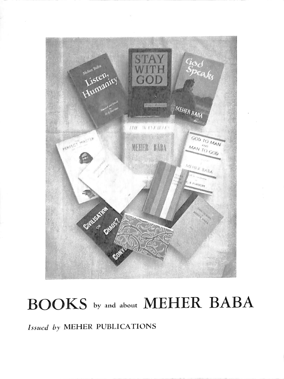

# BOOKS by and about MEHER BABA

#### Issued by MEHER PUBLICATIONS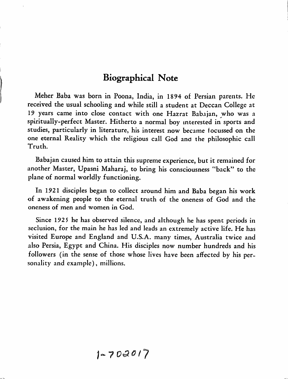#### Biographical Note

Meher Baba was born in Poona, India, in 1894 of Persian parents. He received the usual schooling and while still a student at Deccan College at 19 years came into close contact with one Hazrat Babajan, who was a spiritually-perfect Master. Hitherto a normal boy interested in sports and studies, particularly in literature, his interest now became focussed on the one eternal Reality which the religious call God and the philosophic call Truth.

Babajan caused him to attain this supreme experience, but it remained for another Master, Upasni Maharaj, to bring his consciousness \*'back" to the plane of normal worldly functioning.

In 1921 disciples began to collect around him and Baba began his work of awakening people to the eternal truth of the oneness of God and the oneness of men and women in God.

Since 1925 he has observed silence, and although he has spent periods in seclusion, for the main he has led and leads an extremely active life. He has visited Europe and England and U.S.A. many times, Australia twice and also Persia, Egypt and China. His disciples now number hundreds and his followers (in the sense of those whose lives have been affected by his per sonality and example), millions.

$$
1 - 702017
$$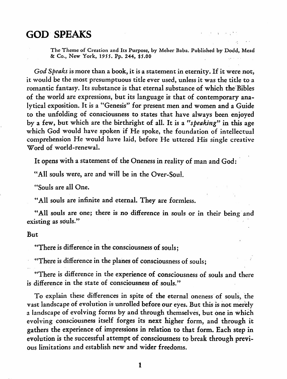#### GOD SPEAKS

The Theme of Creation and Its Purpose, by Mcher Baba. Published by Dodd, Mead & Co., New York, 1955. Pp. 244, \$5.00

God Speaks is more than a book, it is a statement in eternity. If it were not, it would be the most presumptuous title ever used, unless it was the title to a romantic fantasy. Its substance is that eternal substance of which the Bibles of the world are expressions, but its language is that of contemporary ana lytical exposition. It is a "Genesis" for present men and women and a Guide to the unfolding of consciousness to states that have always been enjoyed by a few, but which are the birthright of all. It is a "speaking" in this age which God would have spoken if He spoke, the foundation of intellectual comprehension He would have laid, before He uttered His single creative Word of world-renewal.

It opens with a statement of the Oneness in reality of man and God:

"All souls were, are and will be in the Over-Soul.

"Souls are all One.

"All souls are infinite and eternal. They are formless.

"All souls are one; there is no difference in souls or in their being and existing as souls."

#### But

"There is difference in the consciousness of souls;

"There is difference in the planes of consciousness of souls;

"There is difference in the experience of consciousness of souls and there is difference in the state of consciousness of souls."

To explain these differences in spite of the eternal oneness of souls, the vast landscape of evolution is unrolled before our eyes. But this is not merely a landscape of evolving forms by and through themselves, but one in which evolving consciousness itself forges its next higher form, and through it gathers the experience of impressions in relation to that form. Each step in evolution is the successful attempt of consciousness to break through previ ous limitations and establish new and wider freedoms.

 $\mathbf{1}$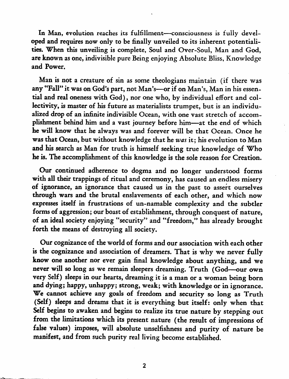In Man, evolution reaches its fulfillment—consciousness is fully devel oped and requires now only to be finally unveiled to its inherent potentiali ties. When this unveiling is complete, Soul and Over-Soul, Man and God, are known as one, indivisible pure Being enjoying Absolute Bliss, Knowledge and Power.

Man is not a creature of sin as some theologians maintain (if there was any "Fall" it was on God's part, not Man's—or if on Man's, Man in his essen tial and real oneness with God), nor one who, by individual effort and col lectivity, is master of his future as materialists trumpet, but is an individu alized drop of an infinite indivisible Ocean, with one vast stretch of accom plishment behind him and a vast journey before him—at the end of which he will know that he always was and forever will be that Ocean. Once he was that Ocean, but without knowledge that he was it; his evolution to Man and his search as Man for truth is himself seeking true knowledge of Who he is. The accomplishment of this knowledge is the sole reason for Creation.

Our continued adherence to dogma and no longer understood forms with all their trappings of ritual and ceremony, has caused an endless misery of ignorance, an ignorance that caused us in the past to assert ourselves through wars and the brutal enslavements of each other, and which now expresses itself in frustrations of un-namable complexity and the subtler forms of aggression; our boast of establishment, through conquest of nature, of an ideal society enjoying "security" and "freedom," has already brought forth the means of destroying all society.

Our cognizance of the world of forms and our association with each other is the cognizance and association of dreamers. That is why we never fully know one another nor ever gain final knowledge about anything, and we never will so long as we remain sleepers dreaming. Truth (God—our own very Self) sleeps in our hearts, dreaming it is a man or a woman being born and dying; happy, unhappy; strong, weak; with knowledge or in ignorance. We cannot achieve any goals of freedom and security so long as Truth (Self) sleeps and dreams that it is everything but itself: only when that Self begins to awaken and begins to realize its true nature by stepping out from the limitations which its present nature (the result of impressions of false values) imposes, will absolute unselfishness and purity of nature be manifest, and from such purity real living become established.

 $\overline{2}$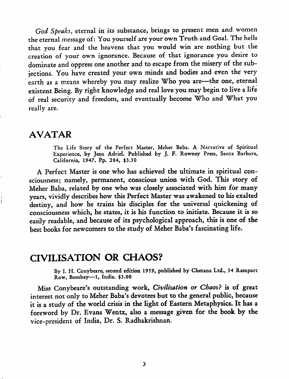God Speaks, eternal in its substance, brings to present men and women the eternal message of: You yourself are your own Truth and Goal. The hells that you fear and the heavens that you would win are nothing but the creation of your own ignorance. Because of that ignorance you desire to dominate and oppress one another and to escape from the misery of the sub jections. You have created your own minds and bodies and even the very earth as a means whereby you may realize Who you are—the one, eternal existent Being. By right knowledge and real love you may begin to live a life of real security and freedom, and eventually become Who and What you really are.

#### AVATAR

The Life Story of the Perfect Master, Meher Baba. A Narrative of Spiritual Experience, by Jean Adriel. Published by J. F. Rowney Press, Santa Barbara, California, 1947. Pp. 284, \$3.50

A Perfect Master is one who has achieved the ultimate in spiritual con sciousness; namely, permanent, conscious union with God. This story of Meher Baba, related by one who was closely associated with him for many years, vividly describes how this Perfect Master was awakened to his exalted destiny, and how he trains his disciples for the universal quickening of consciousness which, he states, it is his fimction to initiate. Because it is so easily readable, and because of its psychological approach, this is one of the best books for newcomers to the study of Meher Baba's fascinating life.

#### CIVILISATION OR CHAOS?

By I. H. Conybeare, second edition 1959, published by Chetana Ltd., 34 Rampart Row, Bombay—1, India. \$3.00

Miss Conybeare's outstanding work. Civilisation or Chaos? is of great interest not only to Meher Baba's devotees but to the general public, because it is a study of the world crisis in the light of Eastern Metaphysics. It has a foreword by Dr. Evans Wentz, also a message given for the book by the vice-president of India, Dr. S. Radhakrishnan.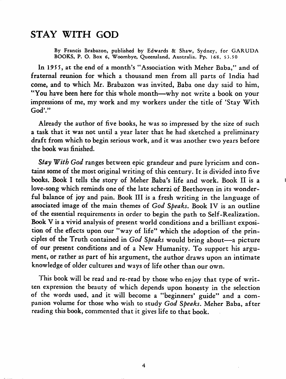### STAY WITH GOD

By Francis Brabazon, published by Edwards & Shaw, Sydney, for GARUDA BOOKS, P. O. Box 6, Woombyc, Queensland, Australia. Pp. 168, \$5.50

In 1955, at the end of a month's "Association with Meher Baba," and of fraternal reunion for which a thousand men from all parts of India had come, and to which Mr. Brabazon was invited, Baba one day said to him, "You have been here for this whole month—why not write a book on your impressions of me, my work and my workers under the title of 'Stay With God'."

Already the author of five books, he was so impressed by the size of such a task that it was not until a year later that he had sketched a preliminary draft from which to begin serious work, and it was another two years before the book was finished.

Stay With God ranges between epic grandeur and pure lyricism and contains some of the most original writing of this century. It is divided into five books. Book I tells the story of Meher Baba's life and work. Book II is a love-song which reminds one of the late scherzi of Beethoven in its wonder ful balance of joy and pain. Book III is a fresh writing in the language of associated image of the main themes of God Speaks, Book IV is an outline of the essential requirements in order to begin the path to Self-Realization. Book V is a vivid analysis of present world conditions and a brilliant exposi tion of the effects upon our "way of life" which the adoption of the prin ciples of the Truth contained in God Speaks would bring about—a picture of our present conditions and of a New Humanity. To support his argu ment, or rather as part of his argument, the author draws upon an intimate knowledge of older cultures and ways of life other than our own.

This book will be read and re-read by those who enjoy that type of writ ten expression the beauty of which depends upon honesty in the selection of the words used, and it will become a "beginners' guide" and a com panion volume for those who wish to study God Speaks. Meher Baba, after reading this book, commented that it gives life to that book.

4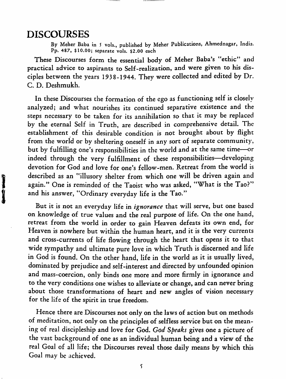#### DISCOURSES

Ì İ By Meher Baba in 5 vols., published by Meher Publications, Ahmednagar, India. Pp. 487, \$10.00; separate vols. \$2.00 each

These Discourses form the essential body of Meher Baba's "ethic" and practical advice to aspirants to Self-realization, and were given to his dis ciples between the years 1938-1944. They were collected and edited by Dr. C. D. Deshmukh.

In these Discourses the formation of the ego as functioning self is closely analyzed; and what nourishes its continued separative existence and the steps necessary to be taken for its annihilation so that it may be replaced by the eternal Self in Truth, are described in comprehensive detail. The establishment of this desirable condition is not brought about by flight from the world or by sheltering oneself in any sort of separate community, but by fulfilling one's responsibilities in the world and at the same time—or indeed through the very fulfillment of these responsibilities—developing devotion for God and love for one's fellow-men. Retreat from the world is described as an "illusory shelter from which one will be driven again and again." One is reminded of the Taoist who was asked, "What is the Tao?" and his answer, "Ordinary everyday life is the Tao."

But it is not an everyday life in ignorance that will serve, but one based on knowledge of true values and the real purpose of life. On the one hand, retreat from the world in order to gain Heaven defeats its own end, for Heaven is nowhere but within the human heart, and it is the very currents and cross-currents of life flowing through the heart that opens it to that wide sympathy and ultimate pure love in which Truth is discerned and life in God is found. On the other hand, life in the world as it is usually lived, dominated by prejudice and self-interest and directed by unfounded opinion and mass-coercion, only binds one more and more firmly in ignorance and to the very conditions one wishes to alleviate or change, and can never bring about those transformations of heart and new angles of vision necessary for the life of the spirit in true freedom.

Hence there are Discourses not only on the laws of action but on methods of meditation, not only on the principles of selfless service but on the mean ing of real discipleship and love for God. God Speaks gives one a picture of the vast background of one as an individual human being and a view of the real Goal of all life; the Discourses reveal those daily means by which this Goal may be achieved.

5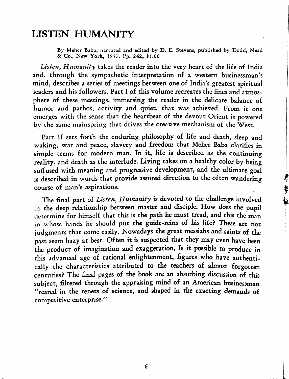### LISTEN HUMANITY

By Mehcr Baba, narrated and edited by D. E. Stevens, published by Dodd, Mead & Co., New York, 19 57. Pp. 262, \$5.00

Listen, Humanity takes the reader into the very heart of the life of India and, through the sympathetic interpretation of a western businessman's mind, describes a series of meetings between one of India's greatest spiritual leaders and his followers. Part I of this volume recreates the lines and atmos phere of these meetings, immersing the reader in the delicate balance of humor and pathos, activity and quiet, that was achieved. From it one emerges with the sense that the heartbeat of the devout Orient is powered by the same mainspring that drives the creative mechanism of the West.

Part II sets forth the enduring philosophy of life and death, sleep and waking, war and peace, slavery and freedom that Meher Baba clarifies in simple terms for modern man. In it, life is described as the continuing reality, and death as the interlude. Living takes on a healthy color by being suffused with meaning and progressive development, and the ultimate goal is described in words that provide assured direction to the often wandering course of man's aspirations.

ようし

The final part of Listen, Humanity is devoted to the challenge involved in the deep relationship between master and disciple. How does the pupil determine for himself that this is the path he must tread, and this the man in whose hands he should put the guide-reins of his life? These are not judgments that come easily. Nowadays the great messiahs and saints of the past seem hazy at best. Often it is suspected that they may even have been the product of imagination and exaggeration. Is it possible to produce in this advanced age of rational enlightenment, figures who have authenti cally the characteristics attributed to the teachers of almost forgotten centuries? The final pages of the book are an absorbing discussion of this subject, filtered through the appraising mind of an American businessman "reared in the tenets of science, and shaped in the exacting demands of competitive enterprise."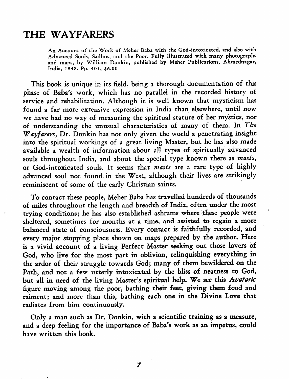#### THE WAYFARERS

An Account of the Work of Mehcr Baba with the God-intoxicated, and also with Advanced Souls, Sadhus, and the Poor. Fully illustrated with many photographs and maps, by William Donkin, published by Meher Publications, Ahmednagar, India, 1948. Pp. 405, \$6.00

This book is unique in its field, being a thorough documentation of this phase of Baba's work, which has no parallel in the recorded history of service and rehabilitation. Although it is well known that mysticism has found a far more extensive expression in India than elsewhere, until now we have had no way of measuring the spiritual stature of her mystics, nor of understanding the unusual characteristics of many of them. In The Wayfarers, Dr. Donkin has not only given the world a penetrating insight into the spiritual workings of a great living Master, but he has also made available a wealth of information about all types of spiritually advanced souls throughout India, and about the special type known there as masts, or God-intoxicated souls. It seems that masts are a rare type of highly advanced soul not found in the West, although their lives are strikingly reminiscent of some of the early Christian saints.

To contact these people, Meher Baba has travelled hundreds of thousands of miles throughout the length and breadth of India, often under the most trying conditions; he has also established ashrams where these people were sheltered, sometimes for months at a time, and assisted to regain a more balanced state of consciousness. Every contact is faithfully recorded, and every major stopping place shown on maps prepared by the author. Here is a vivid account of a living Perfect Master seeking out those lovers of God, who live for the most part in oblivion, relinquishing everything in the ardor of their struggle towards God; many of them bewildered on the Path, and not a few utterly intoxicated by the bliss of nearness to God, but all in need of the living Master's spiritual help. We see this Avataric figure moving among the poor, bathing their feet, giving them food and raiment; and more than this, bathing each one in the Divine Love that radiates from him continuously.

Only a man such as Dr. Donkin, with a scientific training as a measure, and a deep feeling for the importance of Baba's work as an impetus, could have written this book.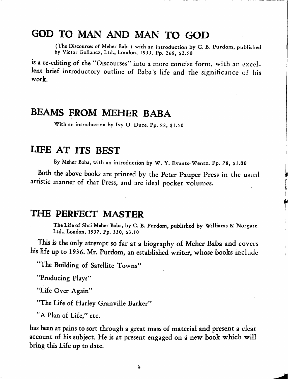## GOD TO MAN AND MAN TO GOD

(The Discourses of Meher Baba) with an introduction by C. B. Purdom, published by Victor Gollancz, Ltd., London, 1955. Pp. 268, \$2.50

is a re-editing of the "Discourses" into a more concise form, with an excel lent brief introductory outline of Baba's life and the significance of his work.

#### BEAMS FROM MEHER BABA

With an introduction by Ivy O. Duce. Pp. 88, \$1.50

#### LIFE AT ITS BEST

By Meher Baba, with an introduction by W. Y. Evants-Wentz. Pp. 78, \$1.00

Both the above books are printed by the Peter Pauper Press in the usual artistic manner of that Press, and are ideal pocket volumes.

#### THE PERFECT MASTER

The Life of Shri Meher Baba, by C. B. Purdom, published by Williams & Norgatc. Ltd., London, 1937. Pp. 330, \$3.50

This is the only attempt so far at a biography of Meher Baba and covers his life up to 1936. Mr. Purdom, an established writer, whose books include

"The Building of Satellite Towns"

"Producing Plays"

"Life Over Again"

"The Life of Harley Granville Barker"

"A Plan of Life," etc.

has been at pains to sort through a great mass of material and present a clear account of his subject. He is at present engaged on a new book which will bring this Life up to date.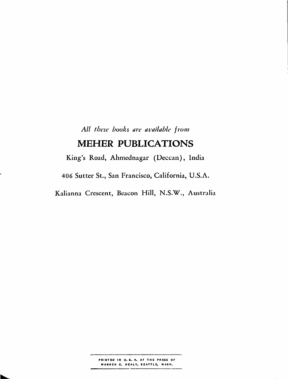All these books are available from

#### MEHER PUBLICATIONS

King's Road, Alimednagar (Deccan), India 406 Sutter St., San Francisco, California, U.S.A.

L

Kalianna Crescent, Beacon Hill, N.S.W., Australia

............. PRINTED IN U.S. A. AT THE PRESS OF WARREN C. HEALY, SEATTLE, WASH.

.....

.....